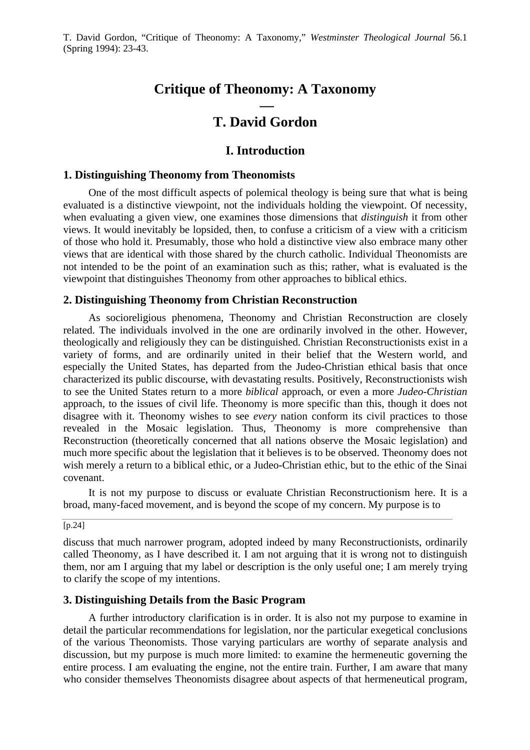# **Critique of Theonomy: A Taxonomy**

# **— T. David Gordon**

# **I. Introduction**

## **1. Distinguishing Theonomy from Theonomists**

One of the most difficult aspects of polemical theology is being sure that what is being evaluated is a distinctive viewpoint, not the individuals holding the viewpoint. Of necessity, when evaluating a given view, one examines those dimensions that *distinguish* it from other views. It would inevitably be lopsided, then, to confuse a criticism of a view with a criticism of those who hold it. Presumably, those who hold a distinctive view also embrace many other views that are identical with those shared by the church catholic. Individual Theonomists are not intended to be the point of an examination such as this; rather, what is evaluated is the viewpoint that distinguishes Theonomy from other approaches to biblical ethics.

## **2. Distinguishing Theonomy from Christian Reconstruction**

As socioreligious phenomena, Theonomy and Christian Reconstruction are closely related. The individuals involved in the one are ordinarily involved in the other. However, theologically and religiously they can be distinguished. Christian Reconstructionists exist in a variety of forms, and are ordinarily united in their belief that the Western world, and especially the United States, has departed from the Judeo-Christian ethical basis that once characterized its public discourse, with devastating results. Positively, Reconstructionists wish to see the United States return to a more *biblical* approach, or even a more *Judeo-Christian* approach, to the issues of civil life. Theonomy is more specific than this, though it does not disagree with it. Theonomy wishes to see *every* nation conform its civil practices to those revealed in the Mosaic legislation. Thus, Theonomy is more comprehensive than Reconstruction (theoretically concerned that all nations observe the Mosaic legislation) and much more specific about the legislation that it believes is to be observed. Theonomy does not wish merely a return to a biblical ethic, or a Judeo-Christian ethic, but to the ethic of the Sinai covenant.

It is not my purpose to discuss or evaluate Christian Reconstructionism here. It is a broad, many-faced movement, and is beyond the scope of my concern. My purpose is to

[p.24]

discuss that much narrower program, adopted indeed by many Reconstructionists, ordinarily called Theonomy, as I have described it. I am not arguing that it is wrong not to distinguish them, nor am I arguing that my label or description is the only useful one; I am merely trying to clarify the scope of my intentions.

## **3. Distinguishing Details from the Basic Program**

A further introductory clarification is in order. It is also not my purpose to examine in detail the particular recommendations for legislation, nor the particular exegetical conclusions of the various Theonomists. Those varying particulars are worthy of separate analysis and discussion, but my purpose is much more limited: to examine the hermeneutic governing the entire process. I am evaluating the engine, not the entire train. Further, I am aware that many who consider themselves Theonomists disagree about aspects of that hermeneutical program,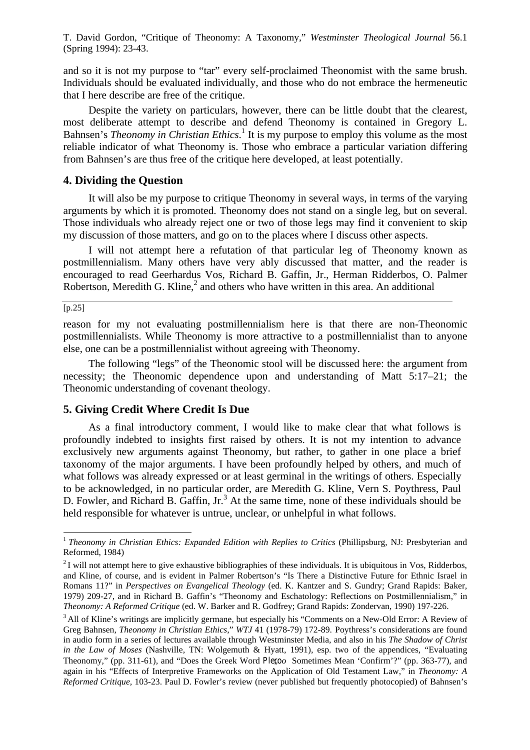and so it is not my purpose to "tar" every self-proclaimed Theonomist with the same brush. Individuals should be evaluated individually, and those who do not embrace the hermeneutic that I here describe are free of the critique.

Despite the variety on particulars, however, there can be little doubt that the clearest, most deliberate attempt to describe and defend Theonomy is contained in Gregory L. Bahnsen's *Theonomy in Christian Ethics*.<sup>1</sup> It is my purpose to employ this volume as the most reliable indicator of what Theonomy is. Those who embrace a particular variation differing from Bahnsen's are thus free of the critique here developed, at least potentially.

## **4. Dividing the Question**

It will also be my purpose to critique Theonomy in several ways, in terms of the varying arguments by which it is promoted. Theonomy does not stand on a single leg, but on several. Those individuals who already reject one or two of those legs may find it convenient to skip my discussion of those matters, and go on to the places where I discuss other aspects.

I will not attempt here a refutation of that particular leg of Theonomy known as postmillennialism. Many others have very ably discussed that matter, and the reader is encouraged to read Geerhardus Vos, Richard B. Gaffin, Jr., Herman Ridderbos, O. Palmer Robertson, Meredith G. Kline, $<sup>2</sup>$  and others who have written in this area. An additional</sup>

 $\overline{[p.25]}$ 

l

reason for my not evaluating postmillennialism here is that there are non-Theonomic postmillennialists. While Theonomy is more attractive to a postmillennialist than to anyone else, one can be a postmillennialist without agreeing with Theonomy.

The following "legs" of the Theonomic stool will be discussed here: the argument from necessity; the Theonomic dependence upon and understanding of Matt 5:17–21; the Theonomic understanding of covenant theology.

## **5. Giving Credit Where Credit Is Due**

As a final introductory comment, I would like to make clear that what follows is profoundly indebted to insights first raised by others. It is not my intention to advance exclusively new arguments against Theonomy, but rather, to gather in one place a brief taxonomy of the major arguments. I have been profoundly helped by others, and much of what follows was already expressed or at least germinal in the writings of others. Especially to be acknowledged, in no particular order, are Meredith G. Kline, Vern S. Poythress, Paul D. Fowler, and Richard B. Gaffin, Jr.<sup>3</sup> At the same time, none of these individuals should be held responsible for whatever is untrue, unclear, or unhelpful in what follows.

<sup>1</sup>*Theonomy in Christian Ethics: Expanded Edition with Replies to Critics* (Phillipsburg, NJ: Presbyterian and Reformed, 1984)

 $2$ I will not attempt here to give exhaustive bibliographies of these individuals. It is ubiquitous in Vos, Ridderbos, and Kline, of course, and is evident in Palmer Robertson's "Is There a Distinctive Future for Ethnic Israel in Romans 11?" in *Perspectives on Evangelical Theology* (ed. K. Kantzer and S. Gundry; Grand Rapids: Baker, 1979) 209-27, and in Richard B. Gaffin's "Theonomy and Eschatology: Reflections on Postmillennialism," in *Theonomy: A Reformed Critique* (ed. W. Barker and R. Godfrey; Grand Rapids: Zondervan, 1990) 197-226.

<sup>&</sup>lt;sup>3</sup> All of Kline's writings are implicitly germane, but especially his "Comments on a New-Old Error: A Review of Greg Bahnsen, *Theonomy in Christian Ethics*," *WTJ* 41 (1978-79) 172-89. Poythress's considerations are found in audio form in a series of lectures available through Westminster Media, and also in his *The Shadow of Christ in the Law of Moses* (Nashville, TN: Wolgemuth & Hyatt, 1991), esp. two of the appendices, "Evaluating Theonomy," (pp. 311-61), and "Does the Greek Word Plegoo Sometimes Mean 'Confirm'?" (pp. 363-77), and again in his "Effects of Interpretive Frameworks on the Application of Old Testament Law," in *Theonomy: A Reformed Critique*, 103-23. Paul D. Fowler's review (never published but frequently photocopied) of Bahnsen's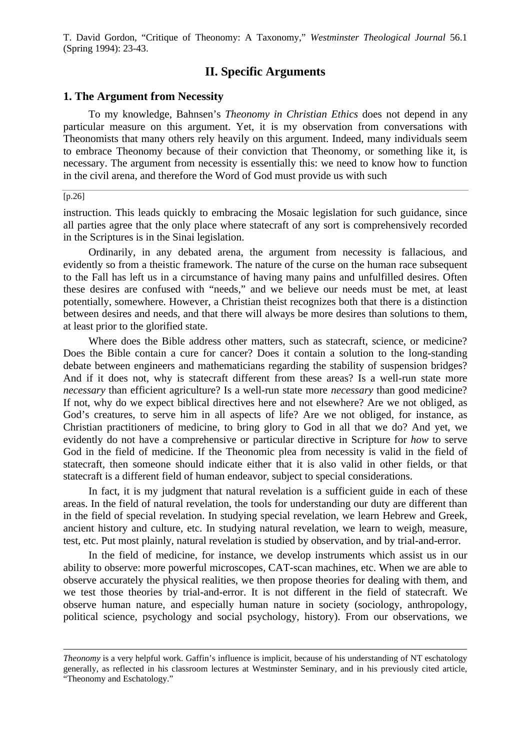# **II. Specific Arguments**

## **1. The Argument from Necessity**

To my knowledge, Bahnsen's *Theonomy in Christian Ethics* does not depend in any particular measure on this argument. Yet, it is my observation from conversations with Theonomists that many others rely heavily on this argument. Indeed, many individuals seem to embrace Theonomy because of their conviction that Theonomy, or something like it, is necessary. The argument from necessity is essentially this: we need to know how to function in the civil arena, and therefore the Word of God must provide us with such

#### $[p.26]$

l

instruction. This leads quickly to embracing the Mosaic legislation for such guidance, since all parties agree that the only place where statecraft of any sort is comprehensively recorded in the Scriptures is in the Sinai legislation.

Ordinarily, in any debated arena, the argument from necessity is fallacious, and evidently so from a theistic framework. The nature of the curse on the human race subsequent to the Fall has left us in a circumstance of having many pains and unfulfilled desires. Often these desires are confused with "needs," and we believe our needs must be met, at least potentially, somewhere. However, a Christian theist recognizes both that there is a distinction between desires and needs, and that there will always be more desires than solutions to them, at least prior to the glorified state.

Where does the Bible address other matters, such as statecraft, science, or medicine? Does the Bible contain a cure for cancer? Does it contain a solution to the long-standing debate between engineers and mathematicians regarding the stability of suspension bridges? And if it does not, why is statecraft different from these areas? Is a well-run state more *necessary* than efficient agriculture? Is a well-run state more *necessary* than good medicine? If not, why do we expect biblical directives here and not elsewhere? Are we not obliged, as God's creatures, to serve him in all aspects of life? Are we not obliged, for instance, as Christian practitioners of medicine, to bring glory to God in all that we do? And yet, we evidently do not have a comprehensive or particular directive in Scripture for *how* to serve God in the field of medicine. If the Theonomic plea from necessity is valid in the field of statecraft, then someone should indicate either that it is also valid in other fields, or that statecraft is a different field of human endeavor, subject to special considerations.

In fact, it is my judgment that natural revelation is a sufficient guide in each of these areas. In the field of natural revelation, the tools for understanding our duty are different than in the field of special revelation. In studying special revelation, we learn Hebrew and Greek, ancient history and culture, etc. In studying natural revelation, we learn to weigh, measure, test, etc. Put most plainly, natural revelation is studied by observation, and by trial-and-error.

In the field of medicine, for instance, we develop instruments which assist us in our ability to observe: more powerful microscopes, CAT-scan machines, etc. When we are able to observe accurately the physical realities, we then propose theories for dealing with them, and we test those theories by trial-and-error. It is not different in the field of statecraft. We observe human nature, and especially human nature in society (sociology, anthropology, political science, psychology and social psychology, history). From our observations, we

*Theonomy* is a very helpful work. Gaffin's influence is implicit, because of his understanding of NT eschatology generally, as reflected in his classroom lectures at Westminster Seminary, and in his previously cited article, "Theonomy and Eschatology."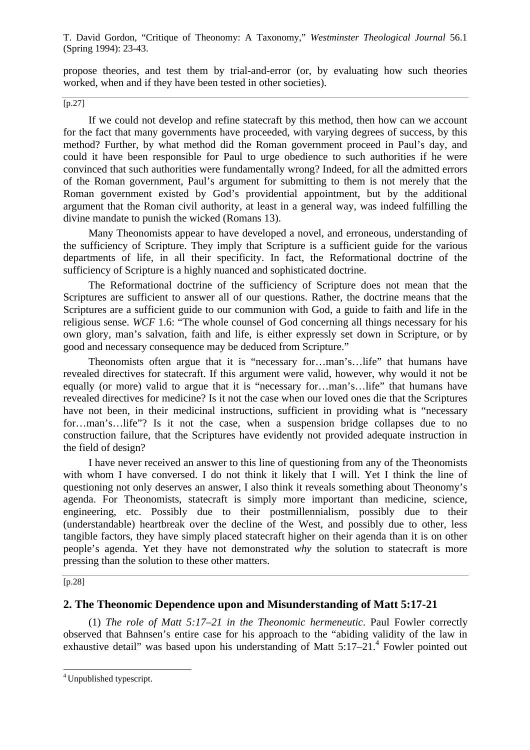propose theories, and test them by trial-and-error (or, by evaluating how such theories worked, when and if they have been tested in other societies).

 $\sqrt{p.27}$ 

If we could not develop and refine statecraft by this method, then how can we account for the fact that many governments have proceeded, with varying degrees of success, by this method? Further, by what method did the Roman government proceed in Paul's day, and could it have been responsible for Paul to urge obedience to such authorities if he were convinced that such authorities were fundamentally wrong? Indeed, for all the admitted errors of the Roman government, Paul's argument for submitting to them is not merely that the Roman government existed by God's providential appointment, but by the additional argument that the Roman civil authority, at least in a general way, was indeed fulfilling the divine mandate to punish the wicked (Romans 13).

Many Theonomists appear to have developed a novel, and erroneous, understanding of the sufficiency of Scripture. They imply that Scripture is a sufficient guide for the various departments of life, in all their specificity. In fact, the Reformational doctrine of the sufficiency of Scripture is a highly nuanced and sophisticated doctrine.

The Reformational doctrine of the sufficiency of Scripture does not mean that the Scriptures are sufficient to answer all of our questions. Rather, the doctrine means that the Scriptures are a sufficient guide to our communion with God, a guide to faith and life in the religious sense. *WCF* 1.6: "The whole counsel of God concerning all things necessary for his own glory, man's salvation, faith and life, is either expressly set down in Scripture, or by good and necessary consequence may be deduced from Scripture."

Theonomists often argue that it is "necessary for…man's…life" that humans have revealed directives for statecraft. If this argument were valid, however, why would it not be equally (or more) valid to argue that it is "necessary for...man's...life" that humans have revealed directives for medicine? Is it not the case when our loved ones die that the Scriptures have not been, in their medicinal instructions, sufficient in providing what is "necessary for…man's…life"? Is it not the case, when a suspension bridge collapses due to no construction failure, that the Scriptures have evidently not provided adequate instruction in the field of design?

I have never received an answer to this line of questioning from any of the Theonomists with whom I have conversed. I do not think it likely that I will. Yet I think the line of questioning not only deserves an answer, I also think it reveals something about Theonomy's agenda. For Theonomists, statecraft is simply more important than medicine, science, engineering, etc. Possibly due to their postmillennialism, possibly due to their (understandable) heartbreak over the decline of the West, and possibly due to other, less tangible factors, they have simply placed statecraft higher on their agenda than it is on other people's agenda. Yet they have not demonstrated *why* the solution to statecraft is more pressing than the solution to these other matters.

## $\overline{[p.28]}$

l

# **2. The Theonomic Dependence upon and Misunderstanding of Matt 5:17-21**

(1) *The role of Matt 5:17–21 in the Theonomic hermeneutic*. Paul Fowler correctly observed that Bahnsen's entire case for his approach to the "abiding validity of the law in exhaustive detail" was based upon his understanding of Matt  $5:17-21$ .<sup>4</sup> Fowler pointed out

<sup>4</sup>Unpublished typescript.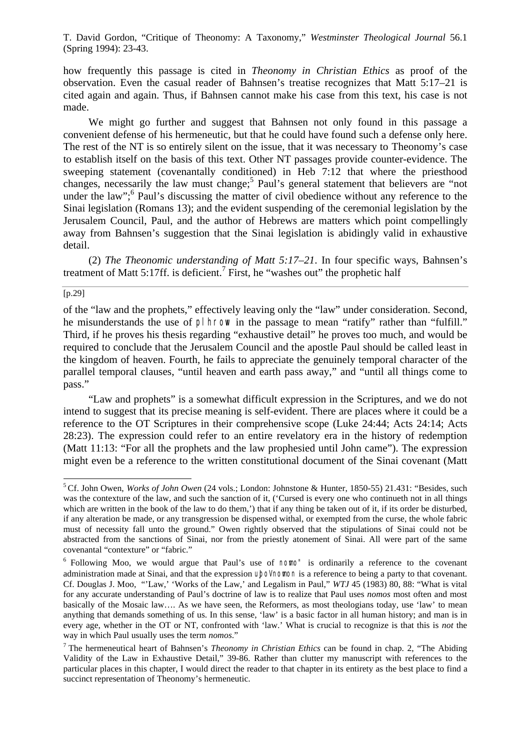how frequently this passage is cited in *Theonomy in Christian Ethics* as proof of the observation. Even the casual reader of Bahnsen's treatise recognizes that Matt 5:17–21 is cited again and again. Thus, if Bahnsen cannot make his case from this text, his case is not made.

We might go further and suggest that Bahnsen not only found in this passage a convenient defense of his hermeneutic, but that he could have found such a defense only here. The rest of the NT is so entirely silent on the issue, that it was necessary to Theonomy's case to establish itself on the basis of this text. Other NT passages provide counter-evidence. The sweeping statement (covenantally conditioned) in Heb 7:12 that where the priesthood changes, necessarily the law must change;<sup>5</sup> Paul's general statement that believers are "not under the law";<sup>6</sup> Paul's discussing the matter of civil obedience without any reference to the Sinai legislation (Romans 13); and the evident suspending of the ceremonial legislation by the Jerusalem Council, Paul, and the author of Hebrews are matters which point compellingly away from Bahnsen's suggestion that the Sinai legislation is abidingly valid in exhaustive detail.

(2) *The Theonomic understanding of Matt 5:17–21*. In four specific ways, Bahnsen's treatment of Matt 5:17ff. is deficient.<sup>7</sup> First, he "washes out" the prophetic half

#### [p.29]

l

of the "law and the prophets," effectively leaving only the "law" under consideration. Second, he misunderstands the use of pl hrow in the passage to mean "ratify" rather than "fulfill." Third, if he proves his thesis regarding "exhaustive detail" he proves too much, and would be required to conclude that the Jerusalem Council and the apostle Paul should be called least in the kingdom of heaven. Fourth, he fails to appreciate the genuinely temporal character of the parallel temporal clauses, "until heaven and earth pass away," and "until all things come to pass."

"Law and prophets" is a somewhat difficult expression in the Scriptures, and we do not intend to suggest that its precise meaning is self-evident. There are places where it could be a reference to the OT Scriptures in their comprehensive scope (Luke 24:44; Acts 24:14; Acts 28:23). The expression could refer to an entire revelatory era in the history of redemption (Matt 11:13: "For all the prophets and the law prophesied until John came"). The expression might even be a reference to the written constitutional document of the Sinai covenant (Matt

<sup>5</sup>Cf. John Owen, *Works of John Owen* (24 vols.; London: Johnstone & Hunter, 1850-55) 21.431: "Besides, such was the contexture of the law, and such the sanction of it, ('Cursed is every one who continueth not in all things which are written in the book of the law to do them,') that if any thing be taken out of it, if its order be disturbed, if any alteration be made, or any transgression be dispensed withal, or exempted from the curse, the whole fabric must of necessity fall unto the ground." Owen rightly observed that the stipulations of Sinai could not be abstracted from the sanctions of Sinai, nor from the priestly atonement of Sinai. All were part of the same covenantal "contexture" or "fabric."

 $6$  Following Moo, we would argue that Paul's use of nomo" is ordinarily a reference to the covenant administration made at Sinai, and that the expression upo<sup>p</sup> nomon is a reference to being a party to that covenant. Cf. Douglas J. Moo, "'Law,' 'Works of the Law,' and Legalism in Paul," *WTJ* 45 (1983) 80, 88: "What is vital for any accurate understanding of Paul's doctrine of law is to realize that Paul uses *nomos* most often and most basically of the Mosaic law…. As we have seen, the Reformers, as most theologians today, use 'law' to mean anything that demands something of us. In this sense, 'law' is a basic factor in all human history; and man is in every age, whether in the OT or NT, confronted with 'law.' What is crucial to recognize is that this is *not* the way in which Paul usually uses the term *nomos*."

<sup>7</sup>The hermeneutical heart of Bahnsen's *Theonomy in Christian Ethics* can be found in chap. 2, "The Abiding Validity of the Law in Exhaustive Detail," 39-86. Rather than clutter my manuscript with references to the particular places in this chapter, I would direct the reader to that chapter in its entirety as the best place to find a succinct representation of Theonomy's hermeneutic.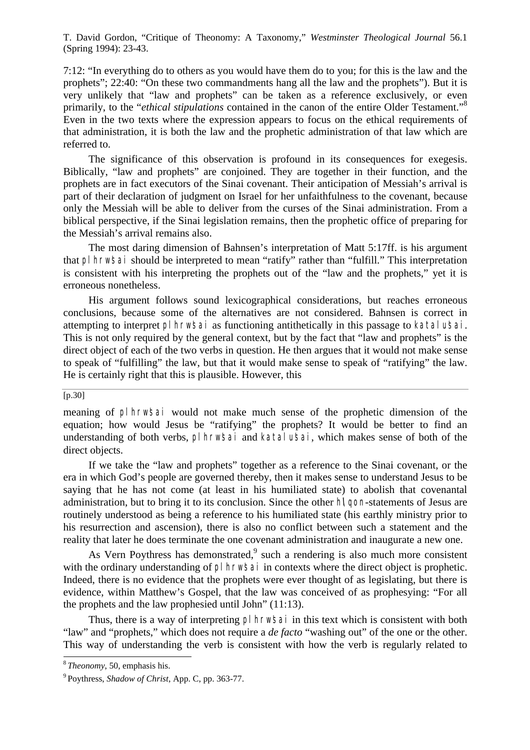7:12: "In everything do to others as you would have them do to you; for this is the law and the prophets"; 22:40: "On these two commandments hang all the law and the prophets"). But it is very unlikely that "law and prophets" can be taken as a reference exclusively, or even primarily, to the "*ethical stipulations* contained in the canon of the entire Older Testament."<sup>8</sup> Even in the two texts where the expression appears to focus on the ethical requirements of that administration, it is both the law and the prophetic administration of that law which are referred to.

The significance of this observation is profound in its consequences for exegesis. Biblically, "law and prophets" are conjoined. They are together in their function, and the prophets are in fact executors of the Sinai covenant. Their anticipation of Messiah's arrival is part of their declaration of judgment on Israel for her unfaithfulness to the covenant, because only the Messiah will be able to deliver from the curses of the Sinai administration. From a biblical perspective, if the Sinai legislation remains, then the prophetic office of preparing for the Messiah's arrival remains also.

The most daring dimension of Bahnsen's interpretation of Matt 5:17ff. is his argument that plhrw'sai should be interpreted to mean "ratify" rather than "fulfill." This interpretation is consistent with his interpreting the prophets out of the "law and the prophets," yet it is erroneous nonetheless.

His argument follows sound lexicographical considerations, but reaches erroneous conclusions, because some of the alternatives are not considered. Bahnsen is correct in attempting to interpret pl hrw's ai as functioning antithetically in this passage to katalu's ai. This is not only required by the general context, but by the fact that "law and prophets" is the direct object of each of the two verbs in question. He then argues that it would not make sense to speak of "fulfilling" the law, but that it would make sense to speak of "ratifying" the law. He is certainly right that this is plausible. However, this

## $[p.30]$

If we take the "law and prophets" together as a reference to the Sinai covenant, or the era in which God's people are governed thereby, then it makes sense to understand Jesus to be saying that he has not come (at least in his humiliated state) to abolish that covenantal administration, but to bring it to its conclusion. Since the other hy gon-statements of Jesus are routinely understood as being a reference to his humiliated state (his earthly ministry prior to his resurrection and ascension), there is also no conflict between such a statement and the reality that later he does terminate the one covenant administration and inaugurate a new one.

As Vern Poythress has demonstrated, $9$  such a rendering is also much more consistent with the ordinary understanding of pl hrw's a in contexts where the direct object is prophetic. Indeed, there is no evidence that the prophets were ever thought of as legislating, but there is evidence, within Matthew's Gospel, that the law was conceived of as prophesying: "For all the prophets and the law prophesied until John" (11:13).

Thus, there is a way of interpreting pl hrwsai in this text which is consistent with both "law" and "prophets," which does not require a *de facto* "washing out" of the one or the other. This way of understanding the verb is consistent with how the verb is regularly related to

l

meaning of plhrw'sai would not make much sense of the prophetic dimension of the equation; how would Jesus be "ratifying" the prophets? It would be better to find an understanding of both verbs, plhrw'sai and katalu'sai, which makes sense of both of the direct objects.

<sup>8</sup>*Theonomy*, 50, emphasis his.

<sup>9</sup>Poythress, *Shadow of Christ*, App. C, pp. 363-77.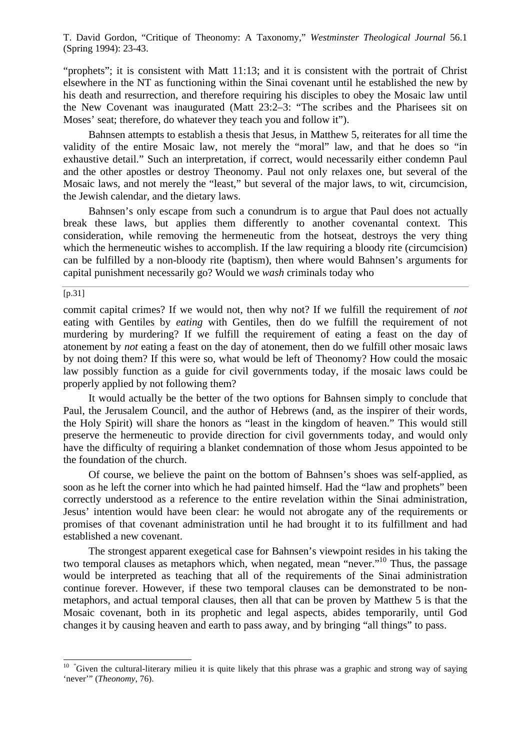"prophets"; it is consistent with Matt 11:13; and it is consistent with the portrait of Christ elsewhere in the NT as functioning within the Sinai covenant until he established the new by his death and resurrection, and therefore requiring his disciples to obey the Mosaic law until the New Covenant was inaugurated (Matt 23:2–3: "The scribes and the Pharisees sit on Moses' seat; therefore, do whatever they teach you and follow it").

Bahnsen attempts to establish a thesis that Jesus, in Matthew 5, reiterates for all time the validity of the entire Mosaic law, not merely the "moral" law, and that he does so "in exhaustive detail." Such an interpretation, if correct, would necessarily either condemn Paul and the other apostles or destroy Theonomy. Paul not only relaxes one, but several of the Mosaic laws, and not merely the "least," but several of the major laws, to wit, circumcision, the Jewish calendar, and the dietary laws.

Bahnsen's only escape from such a conundrum is to argue that Paul does not actually break these laws, but applies them differently to another covenantal context. This consideration, while removing the hermeneutic from the hotseat, destroys the very thing which the hermeneutic wishes to accomplish. If the law requiring a bloody rite (circumcision) can be fulfilled by a non-bloody rite (baptism), then where would Bahnsen's arguments for capital punishment necessarily go? Would we *wash* criminals today who

 $[p.31]$ 

l

commit capital crimes? If we would not, then why not? If we fulfill the requirement of *not* eating with Gentiles by *eating* with Gentiles, then do we fulfill the requirement of not murdering by murdering? If we fulfill the requirement of eating a feast on the day of atonement by *not* eating a feast on the day of atonement, then do we fulfill other mosaic laws by not doing them? If this were so, what would be left of Theonomy? How could the mosaic law possibly function as a guide for civil governments today, if the mosaic laws could be properly applied by not following them?

It would actually be the better of the two options for Bahnsen simply to conclude that Paul, the Jerusalem Council, and the author of Hebrews (and, as the inspirer of their words, the Holy Spirit) will share the honors as "least in the kingdom of heaven." This would still preserve the hermeneutic to provide direction for civil governments today, and would only have the difficulty of requiring a blanket condemnation of those whom Jesus appointed to be the foundation of the church.

Of course, we believe the paint on the bottom of Bahnsen's shoes was self-applied, as soon as he left the corner into which he had painted himself. Had the "law and prophets" been correctly understood as a reference to the entire revelation within the Sinai administration, Jesus' intention would have been clear: he would not abrogate any of the requirements or promises of that covenant administration until he had brought it to its fulfillment and had established a new covenant.

The strongest apparent exegetical case for Bahnsen's viewpoint resides in his taking the two temporal clauses as metaphors which, when negated, mean "never."<sup>10</sup> Thus, the passage would be interpreted as teaching that all of the requirements of the Sinai administration continue forever. However, if these two temporal clauses can be demonstrated to be nonmetaphors, and actual temporal clauses, then all that can be proven by Matthew 5 is that the Mosaic covenant, both in its prophetic and legal aspects, abides temporarily, until God changes it by causing heaven and earth to pass away, and by bringing "all things" to pass.

 $10$  "Given the cultural-literary milieu it is quite likely that this phrase was a graphic and strong way of saying 'never'" (*Theonomy*, 76).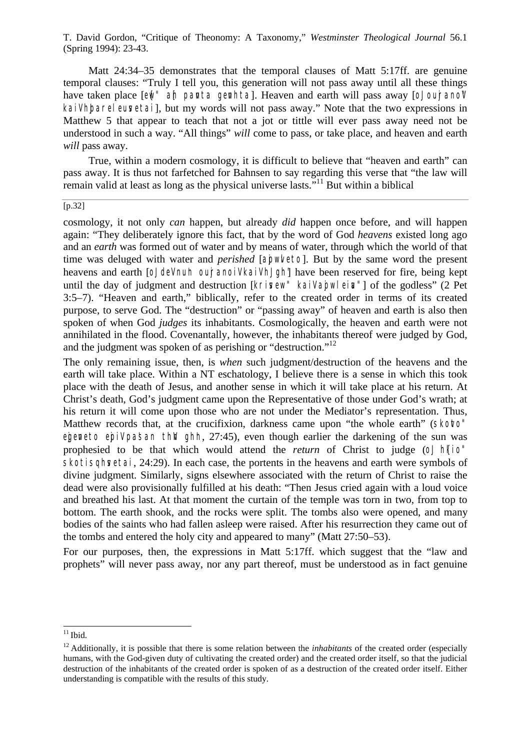Matt 24:34–35 demonstrates that the temporal clauses of Matt 5:17ff. are genuine temporal clauses: "Truly I tell you, this generation will not pass away until all these things have taken place [ew ] ah panta genhta]. Heaven and earth will pass away [o] oujrano'l' kail had help are leuvertail, but my words will not pass away." Note that the two expressions in Matthew 5 that appear to teach that not a jot or tittle will ever pass away need not be understood in such a way. "All things" *will* come to pass, or take place, and heaven and earth *will* pass away.

True, within a modern cosmology, it is difficult to believe that "heaven and earth" can pass away. It is thus not farfetched for Bahnsen to say regarding this verse that "the law will remain valid at least as long as the physical universe lasts.<sup> $11$ </sup> But within a biblical

#### [p.32]

cosmology, it not only *can* happen, but already *did* happen once before, and will happen again: "They deliberately ignore this fact, that by the word of God *heavens* existed long ago and an *earth* was formed out of water and by means of water, through which the world of that time was deluged with water and *perished* [apwleto]. But by the same word the present heavens and earth [o] dell nun out anoil kail have have been reserved for fire, being kept until the day of judgment and destruction [krisew" kail apwlein"] of the godless" (2 Pet 3:5–7). "Heaven and earth," biblically, refer to the created order in terms of its created purpose, to serve God. The "destruction" or "passing away" of heaven and earth is also then spoken of when God *judges* its inhabitants. Cosmologically, the heaven and earth were not annihilated in the flood. Covenantally, however, the inhabitants thereof were judged by God, and the judgment was spoken of as perishing or "destruction."<sup>12</sup>

The only remaining issue, then, is *when* such judgment/destruction of the heavens and the earth will take place. Within a NT eschatology, I believe there is a sense in which this took place with the death of Jesus, and another sense in which it will take place at his return. At Christ's death, God's judgment came upon the Representative of those under God's wrath; at his return it will come upon those who are not under the Mediator's representation. Thus, Matthew records that, at the crucifixion, darkness came upon "the whole earth" (Skotto" egeneto epil pa'san th'n ghh,  $27:45$ ), even though earlier the darkening of the sun was prophesied to be that which would attend the *return* of Christ to judge (o) he skotisghvetai, 24:29). In each case, the portents in the heavens and earth were symbols of divine judgment. Similarly, signs elsewhere associated with the return of Christ to raise the dead were also provisionally fulfilled at his death: "Then Jesus cried again with a loud voice and breathed his last. At that moment the curtain of the temple was torn in two, from top to bottom. The earth shook, and the rocks were split. The tombs also were opened, and many bodies of the saints who had fallen asleep were raised. After his resurrection they came out of the tombs and entered the holy city and appeared to many" (Matt 27:50–53).

For our purposes, then, the expressions in Matt 5:17ff. which suggest that the "law and prophets" will never pass away, nor any part thereof, must be understood as in fact genuine

l

 $11$  Ibid.

 $12$  Additionally, it is possible that there is some relation between the *inhabitants* of the created order (especially humans, with the God-given duty of cultivating the created order) and the created order itself, so that the judicial destruction of the inhabitants of the created order is spoken of as a destruction of the created order itself. Either understanding is compatible with the results of this study.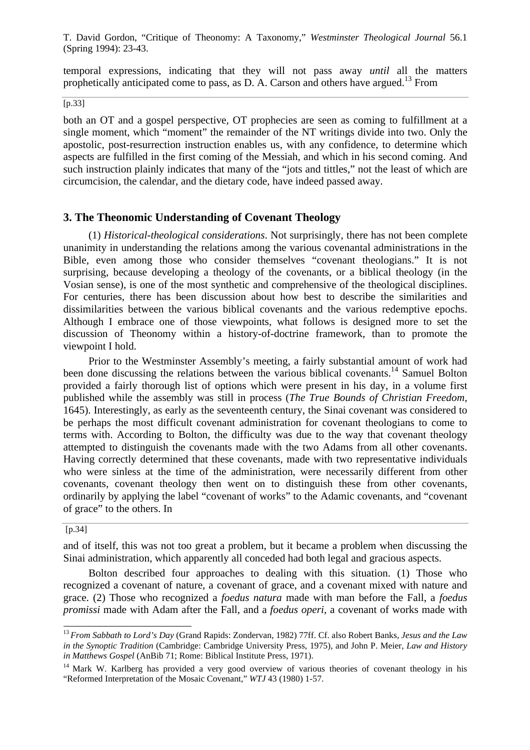temporal expressions, indicating that they will not pass away *until* all the matters prophetically anticipated come to pass, as D. A. Carson and others have argued.<sup>13</sup> From

 $\overline{[p.33]}$ 

both an OT and a gospel perspective, OT prophecies are seen as coming to fulfillment at a single moment, which "moment" the remainder of the NT writings divide into two. Only the apostolic, post-resurrection instruction enables us, with any confidence, to determine which aspects are fulfilled in the first coming of the Messiah, and which in his second coming. And such instruction plainly indicates that many of the "jots and tittles," not the least of which are circumcision, the calendar, and the dietary code, have indeed passed away.

## **3. The Theonomic Understanding of Covenant Theology**

(1) *Historical-theological considerations*. Not surprisingly, there has not been complete unanimity in understanding the relations among the various covenantal administrations in the Bible, even among those who consider themselves "covenant theologians." It is not surprising, because developing a theology of the covenants, or a biblical theology (in the Vosian sense), is one of the most synthetic and comprehensive of the theological disciplines. For centuries, there has been discussion about how best to describe the similarities and dissimilarities between the various biblical covenants and the various redemptive epochs. Although I embrace one of those viewpoints, what follows is designed more to set the discussion of Theonomy within a history-of-doctrine framework, than to promote the viewpoint I hold.

Prior to the Westminster Assembly's meeting, a fairly substantial amount of work had been done discussing the relations between the various biblical covenants.<sup>14</sup> Samuel Bolton provided a fairly thorough list of options which were present in his day, in a volume first published while the assembly was still in process (*The True Bounds of Christian Freedom*, 1645). Interestingly, as early as the seventeenth century, the Sinai covenant was considered to be perhaps the most difficult covenant administration for covenant theologians to come to terms with. According to Bolton, the difficulty was due to the way that covenant theology attempted to distinguish the covenants made with the two Adams from all other covenants. Having correctly determined that these covenants, made with two representative individuals who were sinless at the time of the administration, were necessarily different from other covenants, covenant theology then went on to distinguish these from other covenants, ordinarily by applying the label "covenant of works" to the Adamic covenants, and "covenant of grace" to the others. In

#### [p.34]

l

and of itself, this was not too great a problem, but it became a problem when discussing the Sinai administration, which apparently all conceded had both legal and gracious aspects.

Bolton described four approaches to dealing with this situation. (1) Those who recognized a covenant of nature, a covenant of grace, and a covenant mixed with nature and grace. (2) Those who recognized a *foedus natura* made with man before the Fall, a *foedus promissi* made with Adam after the Fall, and a *foedus operi*, a covenant of works made with

<sup>13</sup>*From Sabbath to Lord's Day* (Grand Rapids: Zondervan, 1982) 77ff. Cf. also Robert Banks, *Jesus and the Law in the Synoptic Tradition* (Cambridge: Cambridge University Press, 1975), and John P. Meier, *Law and History in Matthews Gospel* (AnBib 71; Rome: Biblical Institute Press, 1971).

<sup>&</sup>lt;sup>14</sup> Mark W. Karlberg has provided a very good overview of various theories of covenant theology in his "Reformed Interpretation of the Mosaic Covenant," *WTJ* 43 (1980) 1-57.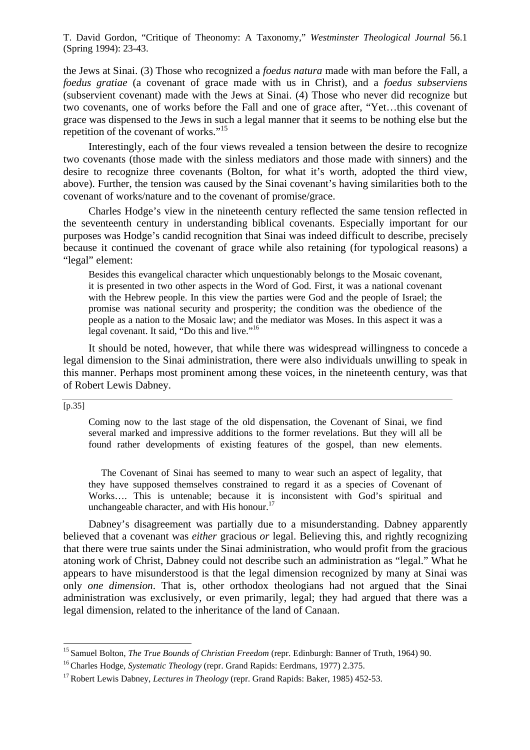the Jews at Sinai. (3) Those who recognized a *foedus natura* made with man before the Fall, a *foedus gratiae* (a covenant of grace made with us in Christ), and a *foedus subserviens* (subservient covenant) made with the Jews at Sinai. (4) Those who never did recognize but two covenants, one of works before the Fall and one of grace after, "Yet…this covenant of grace was dispensed to the Jews in such a legal manner that it seems to be nothing else but the repetition of the covenant of works."<sup>15</sup>

Interestingly, each of the four views revealed a tension between the desire to recognize two covenants (those made with the sinless mediators and those made with sinners) and the desire to recognize three covenants (Bolton, for what it's worth, adopted the third view, above). Further, the tension was caused by the Sinai covenant's having similarities both to the covenant of works/nature and to the covenant of promise/grace.

Charles Hodge's view in the nineteenth century reflected the same tension reflected in the seventeenth century in understanding biblical covenants. Especially important for our purposes was Hodge's candid recognition that Sinai was indeed difficult to describe, precisely because it continued the covenant of grace while also retaining (for typological reasons) a "legal" element:

Besides this evangelical character which unquestionably belongs to the Mosaic covenant, it is presented in two other aspects in the Word of God. First, it was a national covenant with the Hebrew people. In this view the parties were God and the people of Israel; the promise was national security and prosperity; the condition was the obedience of the people as a nation to the Mosaic law; and the mediator was Moses. In this aspect it was a legal covenant. It said, "Do this and live."<sup>16</sup>

It should be noted, however, that while there was widespread willingness to concede a legal dimension to the Sinai administration, there were also individuals unwilling to speak in this manner. Perhaps most prominent among these voices, in the nineteenth century, was that of Robert Lewis Dabney.

## $[p.35]$

l

Coming now to the last stage of the old dispensation, the Covenant of Sinai, we find several marked and impressive additions to the former revelations. But they will all be found rather developments of existing features of the gospel, than new elements.

The Covenant of Sinai has seemed to many to wear such an aspect of legality, that they have supposed themselves constrained to regard it as a species of Covenant of Works…. This is untenable; because it is inconsistent with God's spiritual and unchangeable character, and with His honour.<sup>17</sup>

Dabney's disagreement was partially due to a misunderstanding. Dabney apparently believed that a covenant was *either* gracious *or* legal. Believing this, and rightly recognizing that there were true saints under the Sinai administration, who would profit from the gracious atoning work of Christ, Dabney could not describe such an administration as "legal." What he appears to have misunderstood is that the legal dimension recognized by many at Sinai was only *one dimension*. That is, other orthodox theologians had not argued that the Sinai administration was exclusively, or even primarily, legal; they had argued that there was a legal dimension, related to the inheritance of the land of Canaan.

<sup>&</sup>lt;sup>15</sup> Samuel Bolton, *The True Bounds of Christian Freedom* (repr. Edinburgh: Banner of Truth, 1964) 90.

<sup>&</sup>lt;sup>16</sup> Charles Hodge, *Systematic Theology* (repr. Grand Rapids: Eerdmans, 1977) 2.375.

<sup>&</sup>lt;sup>17</sup> Robert Lewis Dabney, *Lectures in Theology* (repr. Grand Rapids: Baker, 1985) 452-53.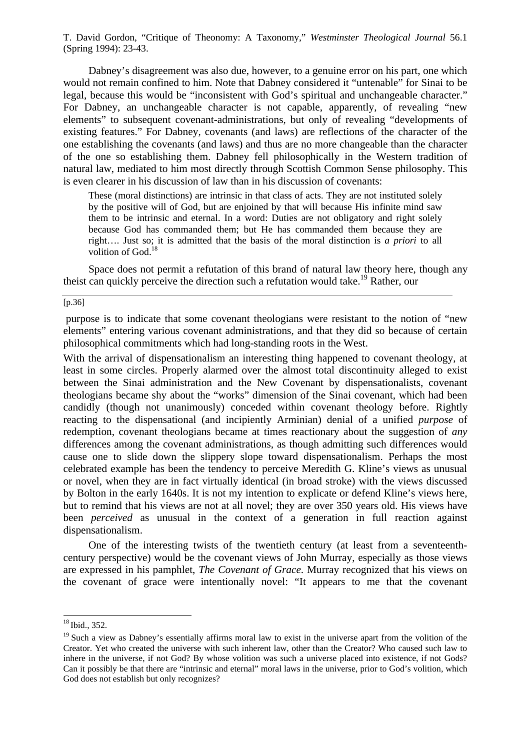Dabney's disagreement was also due, however, to a genuine error on his part, one which would not remain confined to him. Note that Dabney considered it "untenable" for Sinai to be legal, because this would be "inconsistent with God's spiritual and unchangeable character." For Dabney, an unchangeable character is not capable, apparently, of revealing "new elements" to subsequent covenant-administrations, but only of revealing "developments of existing features." For Dabney, covenants (and laws) are reflections of the character of the one establishing the covenants (and laws) and thus are no more changeable than the character of the one so establishing them. Dabney fell philosophically in the Western tradition of natural law, mediated to him most directly through Scottish Common Sense philosophy. This is even clearer in his discussion of law than in his discussion of covenants:

These (moral distinctions) are intrinsic in that class of acts. They are not instituted solely by the positive will of God, but are enjoined by that will because His infinite mind saw them to be intrinsic and eternal. In a word: Duties are not obligatory and right solely because God has commanded them; but He has commanded them because they are right…. Just so; it is admitted that the basis of the moral distinction is *a priori* to all volition of God.<sup>18</sup>

Space does not permit a refutation of this brand of natural law theory here, though any theist can quickly perceive the direction such a refutation would take.<sup>19</sup> Rather, our

#### [p.36]

 purpose is to indicate that some covenant theologians were resistant to the notion of "new elements" entering various covenant administrations, and that they did so because of certain philosophical commitments which had long-standing roots in the West.

With the arrival of dispensationalism an interesting thing happened to covenant theology, at least in some circles. Properly alarmed over the almost total discontinuity alleged to exist between the Sinai administration and the New Covenant by dispensationalists, covenant theologians became shy about the "works" dimension of the Sinai covenant, which had been candidly (though not unanimously) conceded within covenant theology before. Rightly reacting to the dispensational (and incipiently Arminian) denial of a unified *purpose* of redemption, covenant theologians became at times reactionary about the suggestion of *any* differences among the covenant administrations, as though admitting such differences would cause one to slide down the slippery slope toward dispensationalism. Perhaps the most celebrated example has been the tendency to perceive Meredith G. Kline's views as unusual or novel, when they are in fact virtually identical (in broad stroke) with the views discussed by Bolton in the early 1640s. It is not my intention to explicate or defend Kline's views here, but to remind that his views are not at all novel; they are over 350 years old. His views have been *perceived* as unusual in the context of a generation in full reaction against dispensationalism.

One of the interesting twists of the twentieth century (at least from a seventeenthcentury perspective) would be the covenant views of John Murray, especially as those views are expressed in his pamphlet, *The Covenant of Grace*. Murray recognized that his views on the covenant of grace were intentionally novel: "It appears to me that the covenant

l

 $18$  Ibid., 352.

<sup>&</sup>lt;sup>19</sup> Such a view as Dabney's essentially affirms moral law to exist in the universe apart from the volition of the Creator. Yet who created the universe with such inherent law, other than the Creator? Who caused such law to inhere in the universe, if not God? By whose volition was such a universe placed into existence, if not Gods? Can it possibly be that there are "intrinsic and eternal" moral laws in the universe, prior to God's volition, which God does not establish but only recognizes?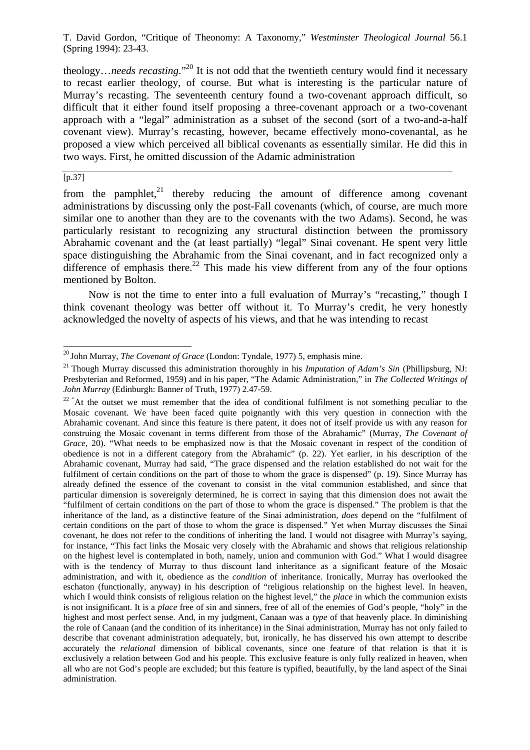theology…*needs recasting*."<sup>20</sup> It is not odd that the twentieth century would find it necessary to recast earlier theology, of course. But what is interesting is the particular nature of Murray's recasting. The seventeenth century found a two-covenant approach difficult, so difficult that it either found itself proposing a three-covenant approach or a two-covenant approach with a "legal" administration as a subset of the second (sort of a two-and-a-half covenant view). Murray's recasting, however, became effectively mono-covenantal, as he proposed a view which perceived all biblical covenants as essentially similar. He did this in two ways. First, he omitted discussion of the Adamic administration

#### [p.37]

l

from the pamphlet.<sup>21</sup> thereby reducing the amount of difference among covenant administrations by discussing only the post-Fall covenants (which, of course, are much more similar one to another than they are to the covenants with the two Adams). Second, he was particularly resistant to recognizing any structural distinction between the promissory Abrahamic covenant and the (at least partially) "legal" Sinai covenant. He spent very little space distinguishing the Abrahamic from the Sinai covenant, and in fact recognized only a difference of emphasis there.<sup>22</sup> This made his view different from any of the four options mentioned by Bolton.

Now is not the time to enter into a full evaluation of Murray's "recasting," though I think covenant theology was better off without it. To Murray's credit, he very honestly acknowledged the novelty of aspects of his views, and that he was intending to recast

<sup>&</sup>lt;sup>20</sup> John Murray, *The Covenant of Grace* (London: Tyndale, 1977) 5, emphasis mine.

<sup>&</sup>lt;sup>21</sup> Though Murray discussed this administration thoroughly in his *Imputation of Adam's Sin* (Phillipsburg, NJ: Presbyterian and Reformed, 1959) and in his paper, "The Adamic Administration," in *The Collected Writings of John Murray* (Edinburgh: Banner of Truth, 1977) 2.47-59.

 $22$  "At the outset we must remember that the idea of conditional fulfilment is not something peculiar to the Mosaic covenant. We have been faced quite poignantly with this very question in connection with the Abrahamic covenant. And since this feature is there patent, it does not of itself provide us with any reason for construing the Mosaic covenant in terms different from those of the Abrahamic" (Murray, *The Covenant of Grace*, 20). "What needs to be emphasized now is that the Mosaic covenant in respect of the condition of obedience is not in a different category from the Abrahamic" (p. 22). Yet earlier, in his description of the Abrahamic covenant, Murray had said, "The grace dispensed and the relation established do not wait for the fulfilment of certain conditions on the part of those to whom the grace is dispensed" (p. 19). Since Murray has already defined the essence of the covenant to consist in the vital communion established, and since that particular dimension is sovereignly determined, he is correct in saying that this dimension does not await the "fulfilment of certain conditions on the part of those to whom the grace is dispensed." The problem is that the inheritance of the land, as a distinctive feature of the Sinai administration, *does* depend on the "fulfilment of certain conditions on the part of those to whom the grace is dispensed." Yet when Murray discusses the Sinai covenant, he does not refer to the conditions of inheriting the land. I would not disagree with Murray's saying, for instance, "This fact links the Mosaic very closely with the Abrahamic and shows that religious relationship on the highest level is contemplated in both, namely, union and communion with God." What I would disagree with is the tendency of Murray to thus discount land inheritance as a significant feature of the Mosaic administration, and with it, obedience as the *condition* of inheritance. Ironically, Murray has overlooked the eschaton (functionally, anyway) in his description of "religious relationship on the highest level. In heaven, which I would think consists of religious relation on the highest level," the *place* in which the communion exists is not insignificant. It is a *place* free of sin and sinners, free of all of the enemies of God's people, "holy" in the highest and most perfect sense. And, in my judgment, Canaan was a *type* of that heavenly place. In diminishing the role of Canaan (and the condition of its inheritance) in the Sinai administration, Murray has not only failed to describe that covenant administration adequately, but, ironically, he has disserved his own attempt to describe accurately the *relational* dimension of biblical covenants, since one feature of that relation is that it is exclusively a relation between God and his people. This exclusive feature is only fully realized in heaven, when all who are not God's people are excluded; but this feature is typified, beautifully, by the land aspect of the Sinai administration.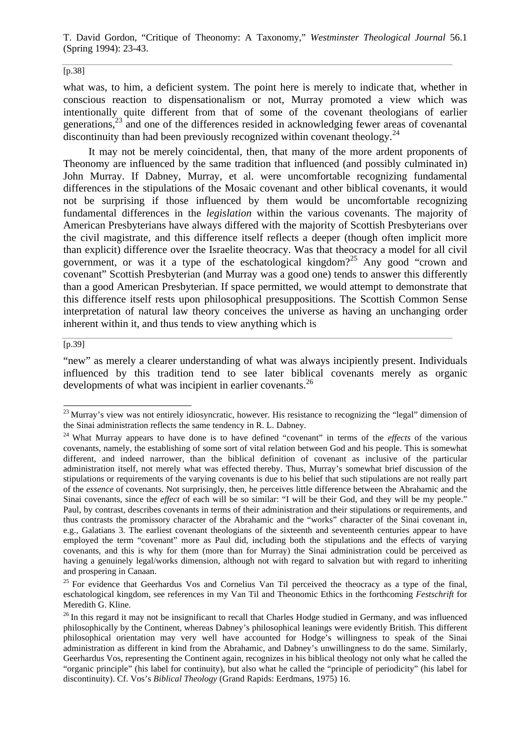#### [p.38]

what was, to him, a deficient system. The point here is merely to indicate that, whether in conscious reaction to dispensationalism or not, Murray promoted a view which was intentionally quite different from that of some of the covenant theologians of earlier generations, $^{23}$  and one of the differences resided in acknowledging fewer areas of covenantal discontinuity than had been previously recognized within covenant theology.<sup>24</sup>

It may not be merely coincidental, then, that many of the more ardent proponents of Theonomy are influenced by the same tradition that influenced (and possibly culminated in) John Murray. If Dabney, Murray, et al. were uncomfortable recognizing fundamental differences in the stipulations of the Mosaic covenant and other biblical covenants, it would not be surprising if those influenced by them would be uncomfortable recognizing fundamental differences in the *legislation* within the various covenants. The majority of American Presbyterians have always differed with the majority of Scottish Presbyterians over the civil magistrate, and this difference itself reflects a deeper (though often implicit more than explicit) difference over the Israelite theocracy. Was that theocracy a model for all civil government, or was it a type of the eschatological kingdom?<sup>25</sup> Any good "crown and covenant" Scottish Presbyterian (and Murray was a good one) tends to answer this differently than a good American Presbyterian. If space permitted, we would attempt to demonstrate that this difference itself rests upon philosophical presuppositions. The Scottish Common Sense interpretation of natural law theory conceives the universe as having an unchanging order inherent within it, and thus tends to view anything which is

#### [p.39]

l

"new" as merely a clearer understanding of what was always incipiently present. Individuals influenced by this tradition tend to see later biblical covenants merely as organic developments of what was incipient in earlier covenants.<sup>26</sup>

 $^{23}$  Murray's view was not entirely idiosyncratic, however. His resistance to recognizing the "legal" dimension of the Sinai administration reflects the same tendency in R. L. Dabney.

<sup>&</sup>lt;sup>24</sup> What Murray appears to have done is to have defined "covenant" in terms of the *effects* of the various covenants, namely, the establishing of some sort of vital relation between God and his people. This is somewhat different, and indeed narrower, than the biblical definition of covenant as inclusive of the particular administration itself, not merely what was effected thereby. Thus, Murray's somewhat brief discussion of the stipulations or requirements of the varying covenants is due to his belief that such stipulations are not really part of the *essence* of covenants. Not surprisingly, then, he perceives little difference between the Abrahamic and the Sinai covenants, since the *effect* of each will be so similar: "I will be their God, and they will be my people." Paul, by contrast, describes covenants in terms of their administration and their stipulations or requirements, and thus contrasts the promissory character of the Abrahamic and the "works" character of the Sinai covenant in, e.g., Galatians 3. The earliest covenant theologians of the sixteenth and seventeenth centuries appear to have employed the term "covenant" more as Paul did, including both the stipulations and the effects of varying covenants, and this is why for them (more than for Murray) the Sinai administration could be perceived as having a genuinely legal/works dimension, although not with regard to salvation but with regard to inheriting and prospering in Canaan.

<sup>&</sup>lt;sup>25</sup> For evidence that Geerhardus Vos and Cornelius Van Til perceived the theocracy as a type of the final, eschatological kingdom, see references in my Van Til and Theonomic Ethics in the forthcoming *Festschrift* for Meredith G. Kline.

 $26$  In this regard it may not be insignificant to recall that Charles Hodge studied in Germany, and was influenced philosophically by the Continent, whereas Dabney's philosophical leanings were evidently British. This different philosophical orientation may very well have accounted for Hodge's willingness to speak of the Sinai administration as different in kind from the Abrahamic, and Dabney's unwillingness to do the same. Similarly, Geerhardus Vos, representing the Continent again, recognizes in his biblical theology not only what he called the "organic principle" (his label for continuity), but also what he called the "principle of periodicity" (his label for discontinuity). Cf. Vos's *Biblical Theology* (Grand Rapids: Eerdmans, 1975) 16.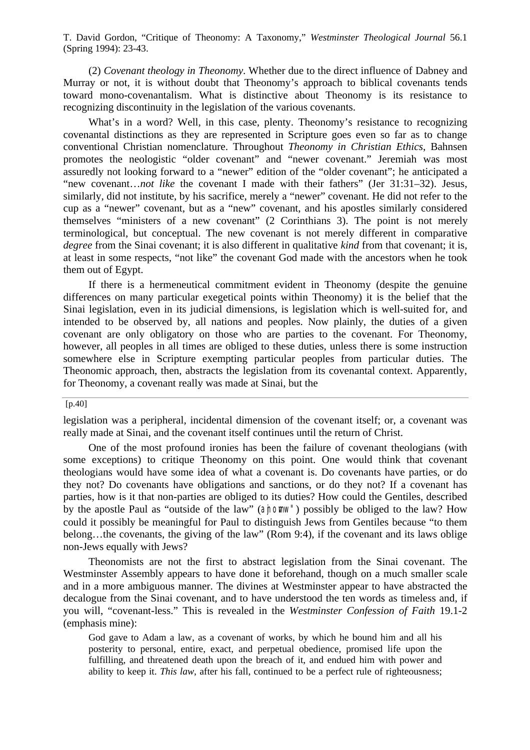(2) *Covenant theology in Theonomy*. Whether due to the direct influence of Dabney and Murray or not, it is without doubt that Theonomy's approach to biblical covenants tends toward mono-covenantalism. What is distinctive about Theonomy is its resistance to recognizing discontinuity in the legislation of the various covenants.

What's in a word? Well, in this case, plenty. Theonomy's resistance to recognizing covenantal distinctions as they are represented in Scripture goes even so far as to change conventional Christian nomenclature. Throughout *Theonomy in Christian Ethics*, Bahnsen promotes the neologistic "older covenant" and "newer covenant." Jeremiah was most assuredly not looking forward to a "newer" edition of the "older covenant"; he anticipated a "new covenant…*not like* the covenant I made with their fathers" (Jer 31:31–32). Jesus, similarly, did not institute, by his sacrifice, merely a "newer" covenant. He did not refer to the cup as a "newer" covenant, but as a "new" covenant, and his apostles similarly considered themselves "ministers of a new covenant" (2 Corinthians 3). The point is not merely terminological, but conceptual. The new covenant is not merely different in comparative *degree* from the Sinai covenant; it is also different in qualitative *kind* from that covenant; it is, at least in some respects, "not like" the covenant God made with the ancestors when he took them out of Egypt.

If there is a hermeneutical commitment evident in Theonomy (despite the genuine differences on many particular exegetical points within Theonomy) it is the belief that the Sinai legislation, even in its judicial dimensions, is legislation which is well-suited for, and intended to be observed by, all nations and peoples. Now plainly, the duties of a given covenant are only obligatory on those who are parties to the covenant. For Theonomy, however, all peoples in all times are obliged to these duties, unless there is some instruction somewhere else in Scripture exempting particular peoples from particular duties. The Theonomic approach, then, abstracts the legislation from its covenantal context. Apparently, for Theonomy, a covenant really was made at Sinai, but the

## $[p.40]$

legislation was a peripheral, incidental dimension of the covenant itself; or, a covenant was really made at Sinai, and the covenant itself continues until the return of Christ.

One of the most profound ironies has been the failure of covenant theologians (with some exceptions) to critique Theonomy on this point. One would think that covenant theologians would have some idea of what a covenant is. Do covenants have parties, or do they not? Do covenants have obligations and sanctions, or do they not? If a covenant has parties, how is it that non-parties are obliged to its duties? How could the Gentiles, described by the apostle Paul as "outside of the law" (ajnomw") possibly be obliged to the law? How could it possibly be meaningful for Paul to distinguish Jews from Gentiles because "to them belong…the covenants, the giving of the law" (Rom 9:4), if the covenant and its laws oblige non-Jews equally with Jews?

Theonomists are not the first to abstract legislation from the Sinai covenant. The Westminster Assembly appears to have done it beforehand, though on a much smaller scale and in a more ambiguous manner. The divines at Westminster appear to have abstracted the decalogue from the Sinai covenant, and to have understood the ten words as timeless and, if you will, "covenant-less." This is revealed in the *Westminster Confession of Faith* 19.1-2 (emphasis mine):

God gave to Adam a law, as a covenant of works, by which he bound him and all his posterity to personal, entire, exact, and perpetual obedience, promised life upon the fulfilling, and threatened death upon the breach of it, and endued him with power and ability to keep it. *This law*, after his fall, continued to be a perfect rule of righteousness;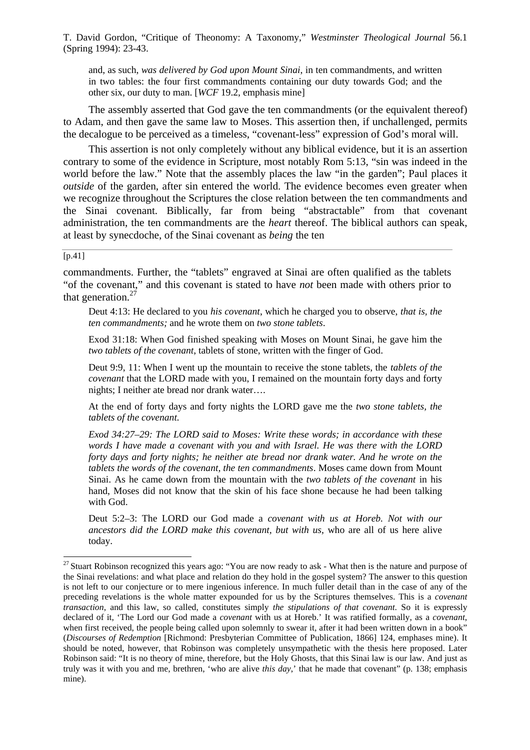and, as such, *was delivered by God upon Mount Sinai*, in ten commandments, and written in two tables: the four first commandments containing our duty towards God; and the other six, our duty to man. [*WCF* 19.2, emphasis mine]

The assembly asserted that God gave the ten commandments (or the equivalent thereof) to Adam, and then gave the same law to Moses. This assertion then, if unchallenged, permits the decalogue to be perceived as a timeless, "covenant-less" expression of God's moral will.

This assertion is not only completely without any biblical evidence, but it is an assertion contrary to some of the evidence in Scripture, most notably Rom 5:13, "sin was indeed in the world before the law." Note that the assembly places the law "in the garden"; Paul places it *outside* of the garden, after sin entered the world. The evidence becomes even greater when we recognize throughout the Scriptures the close relation between the ten commandments and the Sinai covenant. Biblically, far from being "abstractable" from that covenant administration, the ten commandments are the *heart* thereof. The biblical authors can speak, at least by synecdoche, of the Sinai covenant as *being* the ten

#### [p.41]

l

commandments. Further, the "tablets" engraved at Sinai are often qualified as the tablets "of the covenant," and this covenant is stated to have *not* been made with others prior to that generation. $27$ 

Deut 4:13: He declared to you *his covenant*, which he charged you to observe, *that is, the ten commandments;* and he wrote them on *two stone tablets*.

Exod 31:18: When God finished speaking with Moses on Mount Sinai, he gave him the *two tablets of the covenant*, tablets of stone, written with the finger of God.

Deut 9:9, 11: When I went up the mountain to receive the stone tablets, the *tablets of the covenant* that the LORD made with you, I remained on the mountain forty days and forty nights; I neither ate bread nor drank water….

At the end of forty days and forty nights the LORD gave me the *two stone tablets, the tablets of the covenant.*

*Exod 34:27–29: The LORD said to Moses: Write these words; in accordance with these words I have made a covenant with you and with Israel. He was there with the LORD forty days and forty nights; he neither ate bread nor drank water. And he wrote on the tablets the words of the covenant, the ten commandments*. Moses came down from Mount Sinai. As he came down from the mountain with the *two tablets of the covenant* in his hand, Moses did not know that the skin of his face shone because he had been talking with God.

Deut 5:2–3: The LORD our God made a *covenant with us at Horeb. Not with our ancestors did the LORD make this covenant, but with us*, who are all of us here alive today.

<sup>&</sup>lt;sup>27</sup> Stuart Robinson recognized this years ago: "You are now ready to ask - What then is the nature and purpose of the Sinai revelations: and what place and relation do they hold in the gospel system? The answer to this question is not left to our conjecture or to mere ingenious inference. In much fuller detail than in the case of any of the preceding revelations is the whole matter expounded for us by the Scriptures themselves. This is a *covenant transaction*, and this law, so called, constitutes simply *the stipulations of that covenant*. So it is expressly declared of it, 'The Lord our God made a *covenant* with us at Horeb.' It was ratified formally, as a *covenant*, when first received, the people being called upon solemnly to swear it, after it had been written down in a book" (*Discourses of Redemption* [Richmond: Presbyterian Committee of Publication, 1866] 124, emphases mine). It should be noted, however, that Robinson was completely unsympathetic with the thesis here proposed. Later Robinson said: "It is no theory of mine, therefore, but the Holy Ghosts, that this Sinai law is our law. And just as truly was it with you and me, brethren, 'who are alive *this day*,' that he made that covenant" (p. 138; emphasis mine).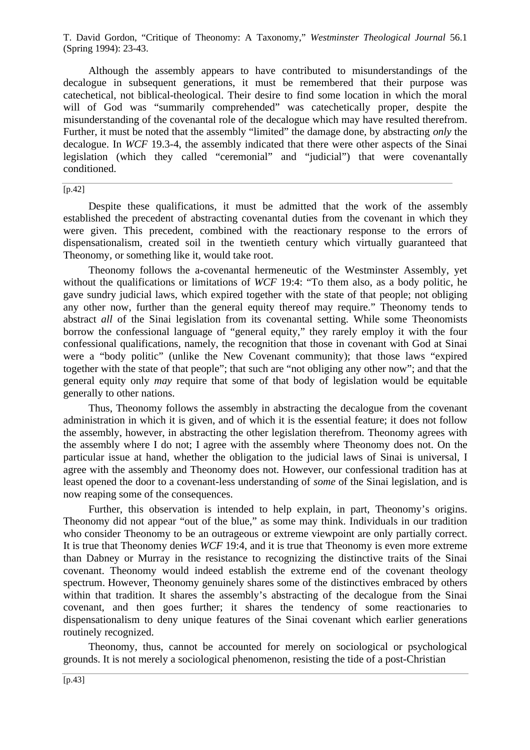Although the assembly appears to have contributed to misunderstandings of the decalogue in subsequent generations, it must be remembered that their purpose was catechetical, not biblical-theological. Their desire to find some location in which the moral will of God was "summarily comprehended" was catechetically proper, despite the misunderstanding of the covenantal role of the decalogue which may have resulted therefrom. Further, it must be noted that the assembly "limited" the damage done, by abstracting *only* the decalogue. In *WCF* 19.3-4, the assembly indicated that there were other aspects of the Sinai legislation (which they called "ceremonial" and "judicial") that were covenantally conditioned.

[p.42]

Despite these qualifications, it must be admitted that the work of the assembly established the precedent of abstracting covenantal duties from the covenant in which they were given. This precedent, combined with the reactionary response to the errors of dispensationalism, created soil in the twentieth century which virtually guaranteed that Theonomy, or something like it, would take root.

Theonomy follows the a-covenantal hermeneutic of the Westminster Assembly, yet without the qualifications or limitations of *WCF* 19:4: "To them also, as a body politic, he gave sundry judicial laws, which expired together with the state of that people; not obliging any other now, further than the general equity thereof may require." Theonomy tends to abstract *all* of the Sinai legislation from its covenantal setting. While some Theonomists borrow the confessional language of "general equity," they rarely employ it with the four confessional qualifications, namely, the recognition that those in covenant with God at Sinai were a "body politic" (unlike the New Covenant community); that those laws "expired together with the state of that people"; that such are "not obliging any other now"; and that the general equity only *may* require that some of that body of legislation would be equitable generally to other nations.

Thus, Theonomy follows the assembly in abstracting the decalogue from the covenant administration in which it is given, and of which it is the essential feature; it does not follow the assembly, however, in abstracting the other legislation therefrom. Theonomy agrees with the assembly where I do not; I agree with the assembly where Theonomy does not. On the particular issue at hand, whether the obligation to the judicial laws of Sinai is universal, I agree with the assembly and Theonomy does not. However, our confessional tradition has at least opened the door to a covenant-less understanding of *some* of the Sinai legislation, and is now reaping some of the consequences.

Further, this observation is intended to help explain, in part, Theonomy's origins. Theonomy did not appear "out of the blue," as some may think. Individuals in our tradition who consider Theonomy to be an outrageous or extreme viewpoint are only partially correct. It is true that Theonomy denies *WCF* 19:4, and it is true that Theonomy is even more extreme than Dabney or Murray in the resistance to recognizing the distinctive traits of the Sinai covenant. Theonomy would indeed establish the extreme end of the covenant theology spectrum. However, Theonomy genuinely shares some of the distinctives embraced by others within that tradition. It shares the assembly's abstracting of the decalogue from the Sinai covenant, and then goes further; it shares the tendency of some reactionaries to dispensationalism to deny unique features of the Sinai covenant which earlier generations routinely recognized.

Theonomy, thus, cannot be accounted for merely on sociological or psychological grounds. It is not merely a sociological phenomenon, resisting the tide of a post-Christian